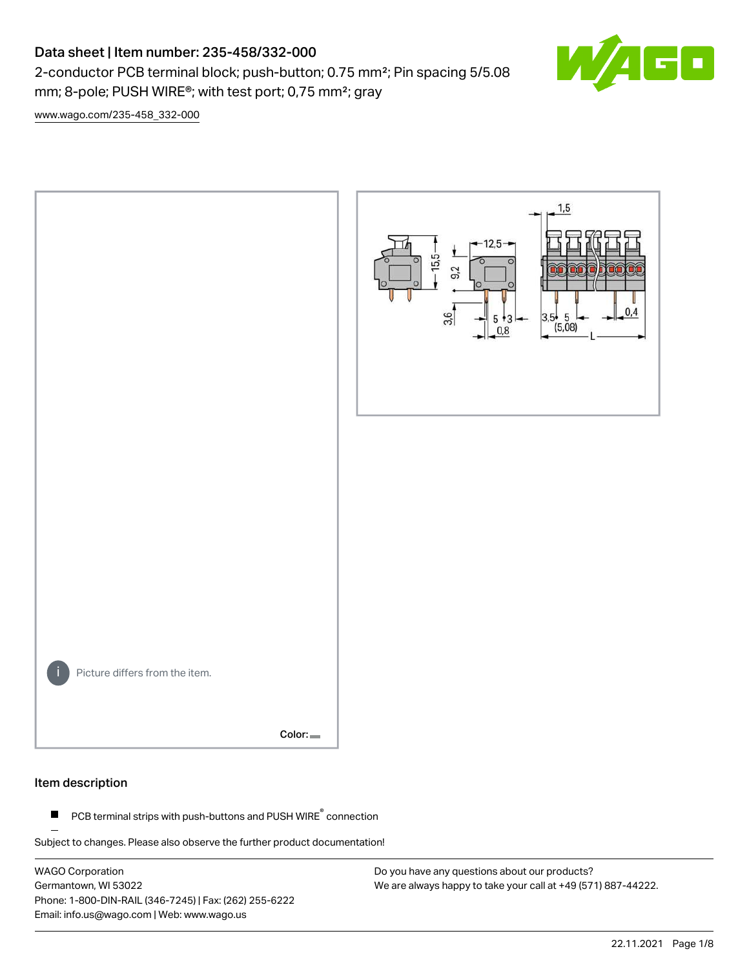# Data sheet | Item number: 235-458/332-000

2-conductor PCB terminal block; push-button; 0.75 mm²; Pin spacing 5/5.08 mm; 8-pole; PUSH WIRE®; with test port; 0,75 mm²; gray



[www.wago.com/235-458\\_332-000](http://www.wago.com/235-458_332-000)



#### Item description

PCB terminal strips with push-buttons and PUSH WIRE<sup>®</sup> connection  $\blacksquare$ 

Subject to changes. Please also observe the further product documentation!

WAGO Corporation Germantown, WI 53022 Phone: 1-800-DIN-RAIL (346-7245) | Fax: (262) 255-6222 Email: info.us@wago.com | Web: www.wago.us

Do you have any questions about our products? We are always happy to take your call at +49 (571) 887-44222.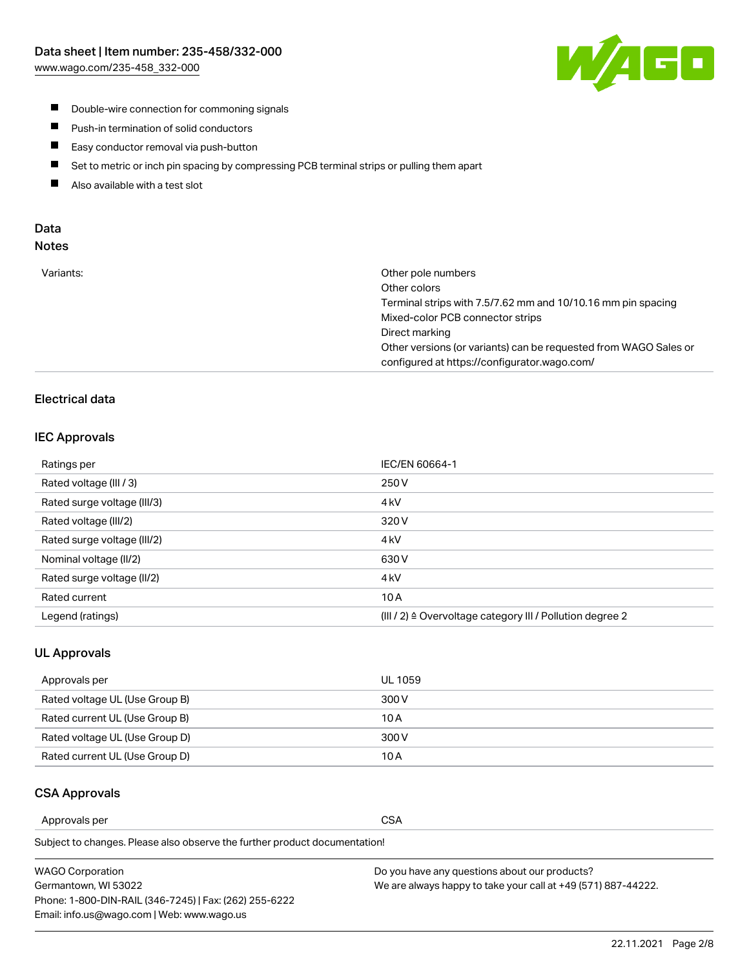

- **Double-wire connection for commoning signals**
- $\blacksquare$ Push-in termination of solid conductors
- Easy conductor removal via push-button  $\blacksquare$
- $\blacksquare$ Set to metric or inch pin spacing by compressing PCB terminal strips or pulling them apart
- $\blacksquare$ Also available with a test slot

## Data Notes

| Variants: | Other pole numbers                                               |
|-----------|------------------------------------------------------------------|
|           | Other colors                                                     |
|           | Terminal strips with 7.5/7.62 mm and 10/10.16 mm pin spacing     |
|           | Mixed-color PCB connector strips                                 |
|           | Direct marking                                                   |
|           | Other versions (or variants) can be requested from WAGO Sales or |
|           | configured at https://configurator.wago.com/                     |
|           |                                                                  |

# Electrical data

## IEC Approvals

| Ratings per                 | IEC/EN 60664-1                                                        |
|-----------------------------|-----------------------------------------------------------------------|
| Rated voltage (III / 3)     | 250 V                                                                 |
| Rated surge voltage (III/3) | 4 <sub>k</sub> V                                                      |
| Rated voltage (III/2)       | 320 V                                                                 |
| Rated surge voltage (III/2) | 4 <sub>kV</sub>                                                       |
| Nominal voltage (II/2)      | 630 V                                                                 |
| Rated surge voltage (II/2)  | 4 <sub>k</sub> V                                                      |
| Rated current               | 10A                                                                   |
| Legend (ratings)            | $(III / 2)$ $\triangle$ Overvoltage category III / Pollution degree 2 |

### UL Approvals

| Approvals per                  | UL 1059 |
|--------------------------------|---------|
| Rated voltage UL (Use Group B) | 300 V   |
| Rated current UL (Use Group B) | 10 A    |
| Rated voltage UL (Use Group D) | 300 V   |
| Rated current UL (Use Group D) | 10 A    |

## CSA Approvals

Approvals per CSA

Subject to changes. Please also observe the further product documentation!

| WAGO Corporation                                       | Do you have any questions about our products?                 |
|--------------------------------------------------------|---------------------------------------------------------------|
| Germantown, WI 53022                                   | We are always happy to take your call at +49 (571) 887-44222. |
| Phone: 1-800-DIN-RAIL (346-7245)   Fax: (262) 255-6222 |                                                               |
| Email: info.us@wago.com   Web: www.wago.us             |                                                               |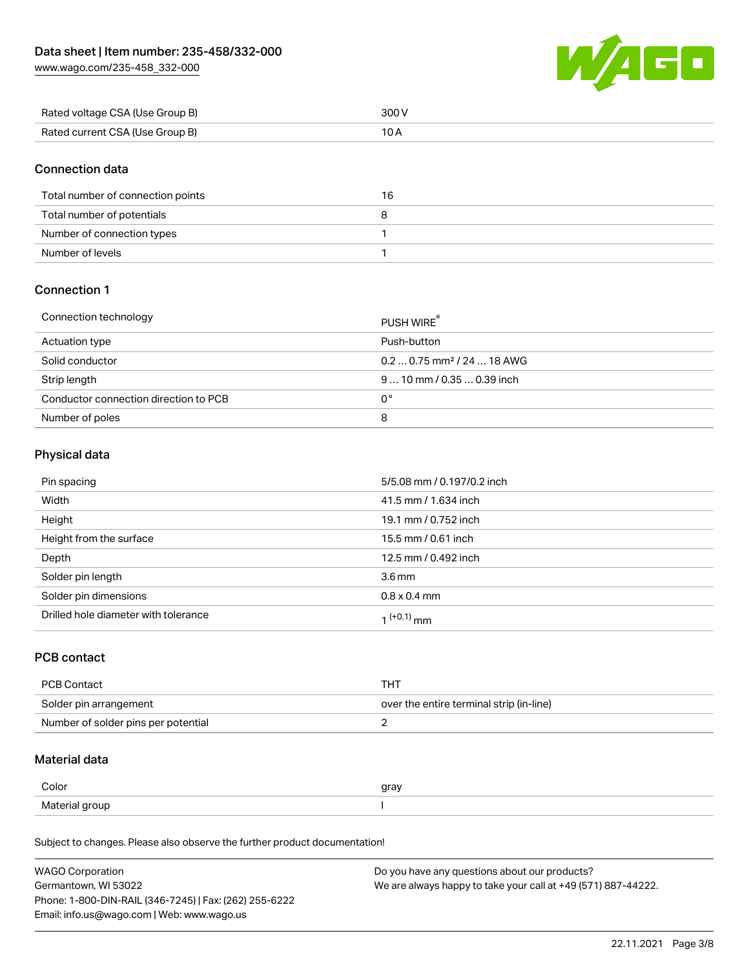[www.wago.com/235-458\\_332-000](http://www.wago.com/235-458_332-000)



| Rated voltage CSA (Use Group B) | 300 V |
|---------------------------------|-------|
| Rated current CSA (Use Group B) |       |

# Connection data

| Total number of connection points | 16 |
|-----------------------------------|----|
| Total number of potentials        |    |
| Number of connection types        |    |
| Number of levels                  |    |

# Connection 1

| Connection technology                 | PUSH WIRE <sup>®</sup>                 |
|---------------------------------------|----------------------------------------|
| Actuation type                        | Push-button                            |
| Solid conductor                       | $0.20.75$ mm <sup>2</sup> / 24  18 AWG |
| Strip length                          | $910$ mm $/0.350.39$ inch              |
| Conductor connection direction to PCB | 0°                                     |
| Number of poles                       | 8                                      |

# Physical data

| Pin spacing                          | 5/5.08 mm / 0.197/0.2 inch |
|--------------------------------------|----------------------------|
| Width                                | 41.5 mm / 1.634 inch       |
| Height                               | 19.1 mm / 0.752 inch       |
| Height from the surface              | 15.5 mm / 0.61 inch        |
| Depth                                | 12.5 mm / 0.492 inch       |
| Solder pin length                    | 3.6 <sub>mm</sub>          |
| Solder pin dimensions                | $0.8 \times 0.4$ mm        |
| Drilled hole diameter with tolerance | $(1+0.1)$ mm               |

## PCB contact

| <b>PCB Contact</b>                  | тнт                                      |
|-------------------------------------|------------------------------------------|
| Solder pin arrangement              | over the entire terminal strip (in-line) |
| Number of solder pins per potential |                                          |

# Material data

| Color                        | gray |
|------------------------------|------|
| Materia<br>arour<br>$\cdots$ |      |

Subject to changes. Please also observe the further product documentation!

| <b>WAGO Corporation</b>                                | Do you have any questions about our products?                 |
|--------------------------------------------------------|---------------------------------------------------------------|
| Germantown, WI 53022                                   | We are always happy to take your call at +49 (571) 887-44222. |
| Phone: 1-800-DIN-RAIL (346-7245)   Fax: (262) 255-6222 |                                                               |
| Email: info.us@wago.com   Web: www.wago.us             |                                                               |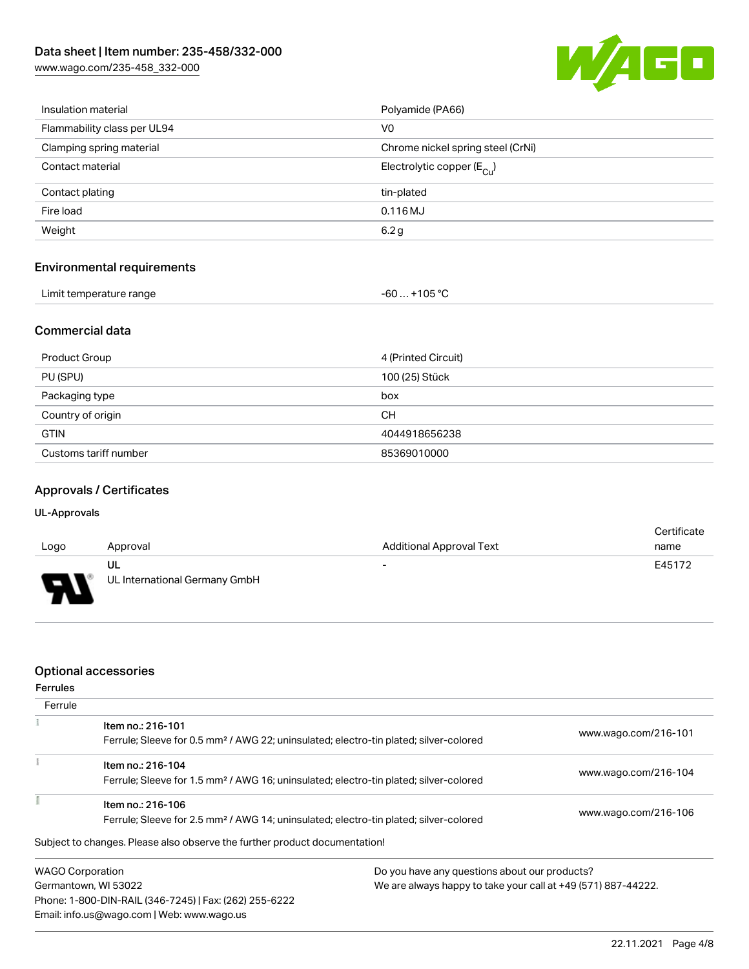[www.wago.com/235-458\\_332-000](http://www.wago.com/235-458_332-000)



| Insulation material               | Polyamide (PA66)                      |
|-----------------------------------|---------------------------------------|
| Flammability class per UL94       | V0                                    |
| Clamping spring material          | Chrome nickel spring steel (CrNi)     |
| Contact material                  | Electrolytic copper $(E_{\text{C1}})$ |
| Contact plating                   | tin-plated                            |
| Fire load                         | $0.116$ MJ                            |
| Weight                            | 6.2 <sub>g</sub>                      |
|                                   |                                       |
| <b>Environmental requirements</b> |                                       |

# Environmental requirements

| Limit temperature range | -60  +105 °C |
|-------------------------|--------------|
|-------------------------|--------------|

#### Commercial data

| Product Group         | 4 (Printed Circuit) |
|-----------------------|---------------------|
| PU (SPU)              | 100 (25) Stück      |
| Packaging type        | box                 |
| Country of origin     | CН                  |
| <b>GTIN</b>           | 4044918656238       |
| Customs tariff number | 85369010000         |

# Approvals / Certificates

### UL-Approvals

| Logo             | Approval                      | <b>Additional Approval Text</b> | Certificate<br>name |
|------------------|-------------------------------|---------------------------------|---------------------|
|                  | UL                            | $\overline{\phantom{0}}$        | E45172              |
| J<br><b>TILL</b> | UL International Germany GmbH |                                 |                     |

## Optional accessories

Email: info.us@wago.com | Web: www.wago.us

| <b>Ferrules</b>         |                                                                                                   |                                               |                                                               |  |
|-------------------------|---------------------------------------------------------------------------------------------------|-----------------------------------------------|---------------------------------------------------------------|--|
| Ferrule                 |                                                                                                   |                                               |                                                               |  |
|                         | Item no.: 216-101                                                                                 |                                               | www.wago.com/216-101                                          |  |
|                         | Ferrule; Sleeve for 0.5 mm <sup>2</sup> / AWG 22; uninsulated; electro-tin plated; silver-colored |                                               |                                                               |  |
|                         | Item no.: 216-104                                                                                 |                                               |                                                               |  |
|                         | Ferrule; Sleeve for 1.5 mm <sup>2</sup> / AWG 16; uninsulated; electro-tin plated; silver-colored |                                               | www.wago.com/216-104                                          |  |
|                         | Item no.: 216-106                                                                                 |                                               |                                                               |  |
|                         | Ferrule; Sleeve for 2.5 mm <sup>2</sup> / AWG 14; uninsulated; electro-tin plated; silver-colored |                                               | www.wago.com/216-106                                          |  |
|                         | Subject to changes. Please also observe the further product documentation!                        |                                               |                                                               |  |
| <b>WAGO Corporation</b> |                                                                                                   | Do you have any questions about our products? |                                                               |  |
| Germantown, WI 53022    |                                                                                                   |                                               | We are always happy to take your call at +49 (571) 887-44222. |  |
|                         | Phone: 1-800-DIN-RAIL (346-7245)   Fax: (262) 255-6222                                            |                                               |                                                               |  |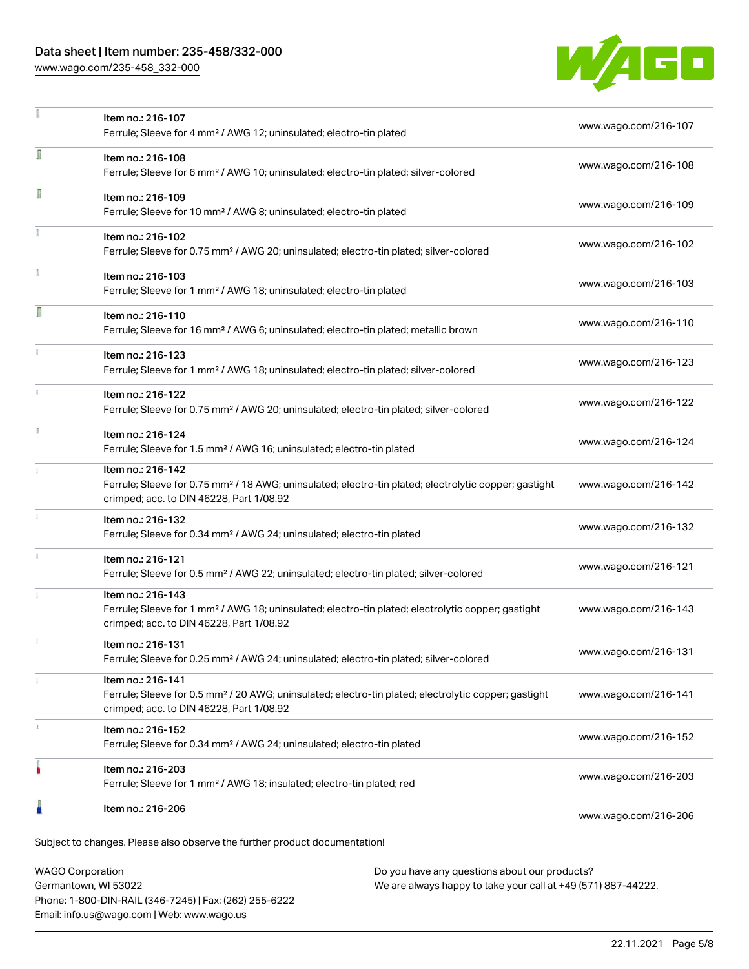# Data sheet | Item number: 235-458/332-000

[www.wago.com/235-458\\_332-000](http://www.wago.com/235-458_332-000)



|    | Item no.: 216-107<br>Ferrule; Sleeve for 4 mm <sup>2</sup> / AWG 12; uninsulated; electro-tin plated                                                                               | www.wago.com/216-107 |
|----|------------------------------------------------------------------------------------------------------------------------------------------------------------------------------------|----------------------|
| ī  | Item no.: 216-108<br>Ferrule; Sleeve for 6 mm <sup>2</sup> / AWG 10; uninsulated; electro-tin plated; silver-colored                                                               | www.wago.com/216-108 |
| Ī  | Item no.: 216-109<br>Ferrule; Sleeve for 10 mm <sup>2</sup> / AWG 8; uninsulated; electro-tin plated                                                                               | www.wago.com/216-109 |
|    | Item no.: 216-102<br>Ferrule; Sleeve for 0.75 mm <sup>2</sup> / AWG 20; uninsulated; electro-tin plated; silver-colored                                                            | www.wago.com/216-102 |
|    | Item no.: 216-103<br>Ferrule; Sleeve for 1 mm <sup>2</sup> / AWG 18; uninsulated; electro-tin plated                                                                               | www.wago.com/216-103 |
| Π  | Item no.: 216-110<br>Ferrule; Sleeve for 16 mm <sup>2</sup> / AWG 6; uninsulated; electro-tin plated; metallic brown                                                               | www.wago.com/216-110 |
|    | Item no.: 216-123<br>Ferrule; Sleeve for 1 mm <sup>2</sup> / AWG 18; uninsulated; electro-tin plated; silver-colored                                                               | www.wago.com/216-123 |
| ž. | Item no.: 216-122<br>Ferrule; Sleeve for 0.75 mm <sup>2</sup> / AWG 20; uninsulated; electro-tin plated; silver-colored                                                            | www.wago.com/216-122 |
| B  | Item no.: 216-124<br>Ferrule; Sleeve for 1.5 mm <sup>2</sup> / AWG 16; uninsulated; electro-tin plated                                                                             | www.wago.com/216-124 |
|    | Item no.: 216-142<br>Ferrule; Sleeve for 0.75 mm <sup>2</sup> / 18 AWG; uninsulated; electro-tin plated; electrolytic copper; gastight<br>crimped; acc. to DIN 46228, Part 1/08.92 | www.wago.com/216-142 |
|    | Item no.: 216-132<br>Ferrule; Sleeve for 0.34 mm <sup>2</sup> / AWG 24; uninsulated; electro-tin plated                                                                            | www.wago.com/216-132 |
|    | Item no.: 216-121<br>Ferrule; Sleeve for 0.5 mm <sup>2</sup> / AWG 22; uninsulated; electro-tin plated; silver-colored                                                             | www.wago.com/216-121 |
|    | Item no.: 216-143<br>Ferrule; Sleeve for 1 mm <sup>2</sup> / AWG 18; uninsulated; electro-tin plated; electrolytic copper; gastight<br>crimped; acc. to DIN 46228, Part 1/08.92    | www.wago.com/216-143 |
|    | Item no.: 216-131<br>Ferrule; Sleeve for 0.25 mm <sup>2</sup> / AWG 24; uninsulated; electro-tin plated; silver-colored                                                            | www.wago.com/216-131 |
|    | Item no.: 216-141<br>Ferrule; Sleeve for 0.5 mm <sup>2</sup> / 20 AWG; uninsulated; electro-tin plated; electrolytic copper; gastight<br>crimped; acc. to DIN 46228, Part 1/08.92  | www.wago.com/216-141 |
|    | Item no.: 216-152<br>Ferrule; Sleeve for 0.34 mm <sup>2</sup> / AWG 24; uninsulated; electro-tin plated                                                                            | www.wago.com/216-152 |
|    | Item no.: 216-203<br>Ferrule; Sleeve for 1 mm <sup>2</sup> / AWG 18; insulated; electro-tin plated; red                                                                            | www.wago.com/216-203 |
|    | Item no.: 216-206                                                                                                                                                                  | www.wago.com/216-206 |

WAGO Corporation Germantown, WI 53022 Phone: 1-800-DIN-RAIL (346-7245) | Fax: (262) 255-6222 Email: info.us@wago.com | Web: www.wago.us

Do you have any questions about our products? We are always happy to take your call at +49 (571) 887-44222.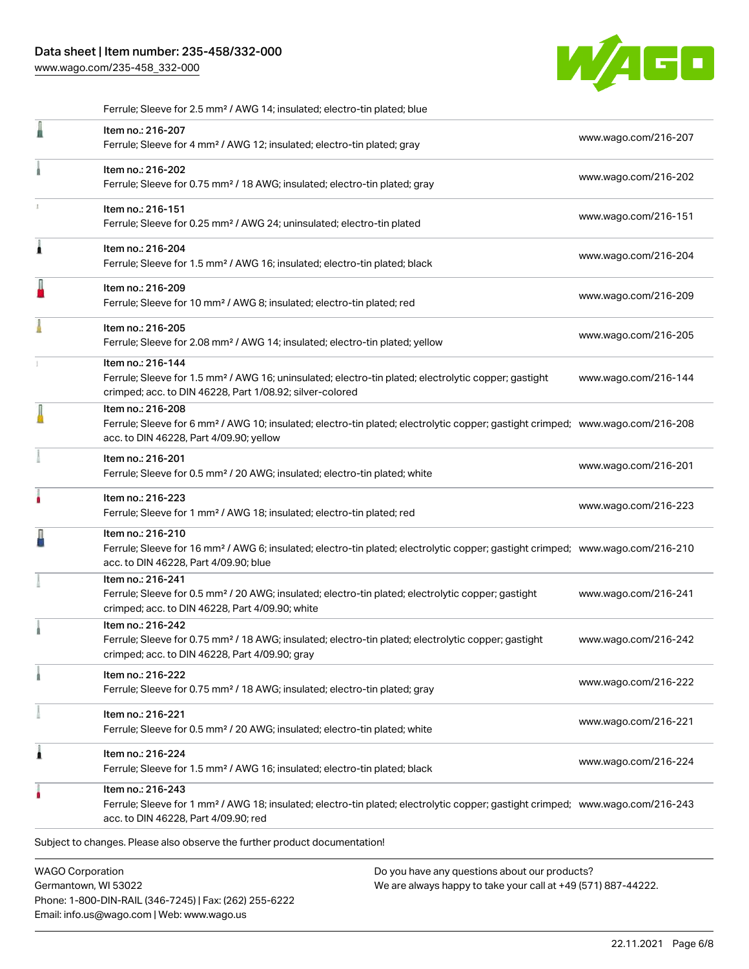[www.wago.com/235-458\\_332-000](http://www.wago.com/235-458_332-000)



|   | Ferrule; Sleeve for 2.5 mm <sup>2</sup> / AWG 14; insulated; electro-tin plated; blue                                                                                                                      |                      |
|---|------------------------------------------------------------------------------------------------------------------------------------------------------------------------------------------------------------|----------------------|
|   | Item no.: 216-207<br>Ferrule; Sleeve for 4 mm <sup>2</sup> / AWG 12; insulated; electro-tin plated; gray                                                                                                   | www.wago.com/216-207 |
|   | Item no.: 216-202<br>Ferrule; Sleeve for 0.75 mm <sup>2</sup> / 18 AWG; insulated; electro-tin plated; gray                                                                                                | www.wago.com/216-202 |
|   | Item no.: 216-151<br>Ferrule; Sleeve for 0.25 mm <sup>2</sup> / AWG 24; uninsulated; electro-tin plated                                                                                                    | www.wago.com/216-151 |
| Â | Item no.: 216-204<br>Ferrule; Sleeve for 1.5 mm <sup>2</sup> / AWG 16; insulated; electro-tin plated; black                                                                                                | www.wago.com/216-204 |
| I | Item no.: 216-209<br>Ferrule; Sleeve for 10 mm <sup>2</sup> / AWG 8; insulated; electro-tin plated; red                                                                                                    | www.wago.com/216-209 |
|   | Item no.: 216-205<br>Ferrule; Sleeve for 2.08 mm <sup>2</sup> / AWG 14; insulated; electro-tin plated; yellow                                                                                              | www.wago.com/216-205 |
|   | Item no.: 216-144<br>Ferrule; Sleeve for 1.5 mm <sup>2</sup> / AWG 16; uninsulated; electro-tin plated; electrolytic copper; gastight<br>crimped; acc. to DIN 46228, Part 1/08.92; silver-colored          | www.wago.com/216-144 |
|   | Item no.: 216-208<br>Ferrule; Sleeve for 6 mm <sup>2</sup> / AWG 10; insulated; electro-tin plated; electrolytic copper; gastight crimped; www.wago.com/216-208<br>acc. to DIN 46228, Part 4/09.90; yellow |                      |
|   | Item no.: 216-201<br>Ferrule; Sleeve for 0.5 mm <sup>2</sup> / 20 AWG; insulated; electro-tin plated; white                                                                                                | www.wago.com/216-201 |
| ۸ | Item no.: 216-223<br>Ferrule; Sleeve for 1 mm <sup>2</sup> / AWG 18; insulated; electro-tin plated; red                                                                                                    | www.wago.com/216-223 |
|   | Item no.: 216-210<br>Ferrule; Sleeve for 16 mm <sup>2</sup> / AWG 6; insulated; electro-tin plated; electrolytic copper; gastight crimped; www.wago.com/216-210<br>acc. to DIN 46228, Part 4/09.90; blue   |                      |
|   | Item no.: 216-241<br>Ferrule; Sleeve for 0.5 mm <sup>2</sup> / 20 AWG; insulated; electro-tin plated; electrolytic copper; gastight<br>crimped; acc. to DIN 46228, Part 4/09.90; white                     | www.wago.com/216-241 |
|   | Item no.: 216-242<br>Ferrule; Sleeve for 0.75 mm <sup>2</sup> / 18 AWG; insulated; electro-tin plated; electrolytic copper; gastight<br>crimped; acc. to DIN 46228, Part 4/09.90; gray                     | www.wago.com/216-242 |
|   | Item no.: 216-222<br>Ferrule; Sleeve for 0.75 mm <sup>2</sup> / 18 AWG; insulated; electro-tin plated; gray                                                                                                | www.wago.com/216-222 |
|   | Item no.: 216-221<br>Ferrule; Sleeve for 0.5 mm <sup>2</sup> / 20 AWG; insulated; electro-tin plated; white                                                                                                | www.wago.com/216-221 |
| 1 | Item no.: 216-224<br>Ferrule; Sleeve for 1.5 mm <sup>2</sup> / AWG 16; insulated; electro-tin plated; black                                                                                                | www.wago.com/216-224 |
|   | Item no.: 216-243<br>Ferrule; Sleeve for 1 mm <sup>2</sup> / AWG 18; insulated; electro-tin plated; electrolytic copper; gastight crimped; www.wago.com/216-243<br>acc. to DIN 46228, Part 4/09.90; red    |                      |
|   | Subject to changes. Please also observe the further product documentation!                                                                                                                                 |                      |
|   | <b>WAGO Corporation</b><br>Do you have any questions about our products?                                                                                                                                   |                      |

Germantown, WI 53022 Phone: 1-800-DIN-RAIL (346-7245) | Fax: (262) 255-6222 Email: info.us@wago.com | Web: www.wago.us

Do you have any questions about our products? We are always happy to take your call at +49 (571) 887-44222.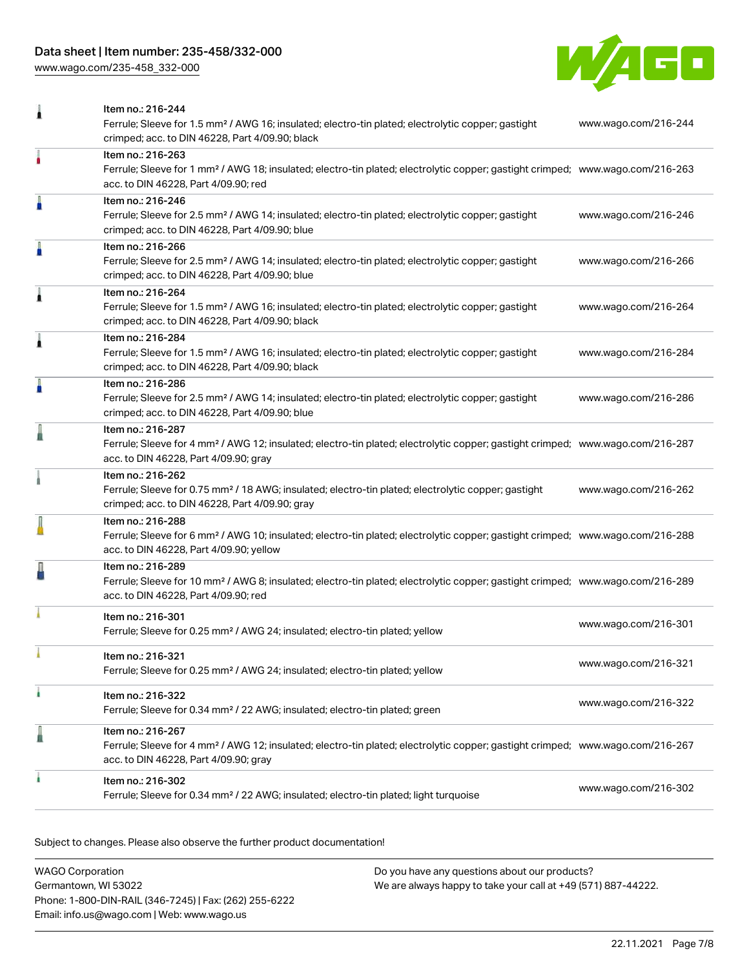# Data sheet | Item number: 235-458/332-000

[www.wago.com/235-458\\_332-000](http://www.wago.com/235-458_332-000)



| 1 | Item no.: 216-244                                                                                                                                                                                          |                      |
|---|------------------------------------------------------------------------------------------------------------------------------------------------------------------------------------------------------------|----------------------|
|   | Ferrule; Sleeve for 1.5 mm <sup>2</sup> / AWG 16; insulated; electro-tin plated; electrolytic copper; gastight<br>crimped; acc. to DIN 46228, Part 4/09.90; black                                          | www.wago.com/216-244 |
| ٠ | Item no.: 216-263<br>Ferrule; Sleeve for 1 mm <sup>2</sup> / AWG 18; insulated; electro-tin plated; electrolytic copper; gastight crimped; www.wago.com/216-263<br>acc. to DIN 46228, Part 4/09.90; red    |                      |
| I | Item no.: 216-246<br>Ferrule; Sleeve for 2.5 mm <sup>2</sup> / AWG 14; insulated; electro-tin plated; electrolytic copper; gastight<br>crimped; acc. to DIN 46228, Part 4/09.90; blue                      | www.wago.com/216-246 |
| Å | Item no.: 216-266<br>Ferrule; Sleeve for 2.5 mm <sup>2</sup> / AWG 14; insulated; electro-tin plated; electrolytic copper; gastight<br>crimped; acc. to DIN 46228, Part 4/09.90; blue                      | www.wago.com/216-266 |
| 1 | Item no.: 216-264<br>Ferrule; Sleeve for 1.5 mm <sup>2</sup> / AWG 16; insulated; electro-tin plated; electrolytic copper; gastight<br>crimped; acc. to DIN 46228, Part 4/09.90; black                     | www.wago.com/216-264 |
| Â | Item no.: 216-284<br>Ferrule; Sleeve for 1.5 mm <sup>2</sup> / AWG 16; insulated; electro-tin plated; electrolytic copper; gastight<br>crimped; acc. to DIN 46228, Part 4/09.90; black                     | www.wago.com/216-284 |
| A | Item no.: 216-286<br>Ferrule; Sleeve for 2.5 mm <sup>2</sup> / AWG 14; insulated; electro-tin plated; electrolytic copper; gastight<br>crimped; acc. to DIN 46228, Part 4/09.90; blue                      | www.wago.com/216-286 |
|   | Item no.: 216-287<br>Ferrule; Sleeve for 4 mm <sup>2</sup> / AWG 12; insulated; electro-tin plated; electrolytic copper; gastight crimped; www.wago.com/216-287<br>acc. to DIN 46228, Part 4/09.90; gray   |                      |
|   | Item no.: 216-262<br>Ferrule; Sleeve for 0.75 mm <sup>2</sup> / 18 AWG; insulated; electro-tin plated; electrolytic copper; gastight<br>crimped; acc. to DIN 46228, Part 4/09.90; gray                     | www.wago.com/216-262 |
|   | Item no.: 216-288<br>Ferrule; Sleeve for 6 mm <sup>2</sup> / AWG 10; insulated; electro-tin plated; electrolytic copper; gastight crimped; www.wago.com/216-288<br>acc. to DIN 46228, Part 4/09.90; yellow |                      |
|   | Item no.: 216-289<br>Ferrule; Sleeve for 10 mm <sup>2</sup> / AWG 8; insulated; electro-tin plated; electrolytic copper; gastight crimped; www.wago.com/216-289<br>acc. to DIN 46228, Part 4/09.90; red    |                      |
|   | Item no.: 216-301<br>Ferrule; Sleeve for 0.25 mm <sup>2</sup> / AWG 24; insulated; electro-tin plated; yellow                                                                                              | www.wago.com/216-301 |
|   | Item no.: 216-321<br>Ferrule; Sleeve for 0.25 mm <sup>2</sup> / AWG 24; insulated; electro-tin plated; yellow                                                                                              | www.wago.com/216-321 |
| ł | Item no.: 216-322<br>Ferrule; Sleeve for 0.34 mm <sup>2</sup> / 22 AWG; insulated; electro-tin plated; green                                                                                               | www.wago.com/216-322 |
| ≞ | Item no.: 216-267<br>Ferrule; Sleeve for 4 mm <sup>2</sup> / AWG 12; insulated; electro-tin plated; electrolytic copper; gastight crimped; www.wago.com/216-267<br>acc. to DIN 46228, Part 4/09.90; gray   |                      |
|   | Item no.: 216-302<br>Ferrule; Sleeve for 0.34 mm <sup>2</sup> / 22 AWG; insulated; electro-tin plated; light turquoise                                                                                     | www.wago.com/216-302 |

Subject to changes. Please also observe the further product documentation!

| WAGO Corporation                                       | Do you have any questions about our products?                 |
|--------------------------------------------------------|---------------------------------------------------------------|
| Germantown, WI 53022                                   | We are always happy to take your call at +49 (571) 887-44222. |
| Phone: 1-800-DIN-RAIL (346-7245)   Fax: (262) 255-6222 |                                                               |
| Email: info.us@wago.com   Web: www.wago.us             |                                                               |